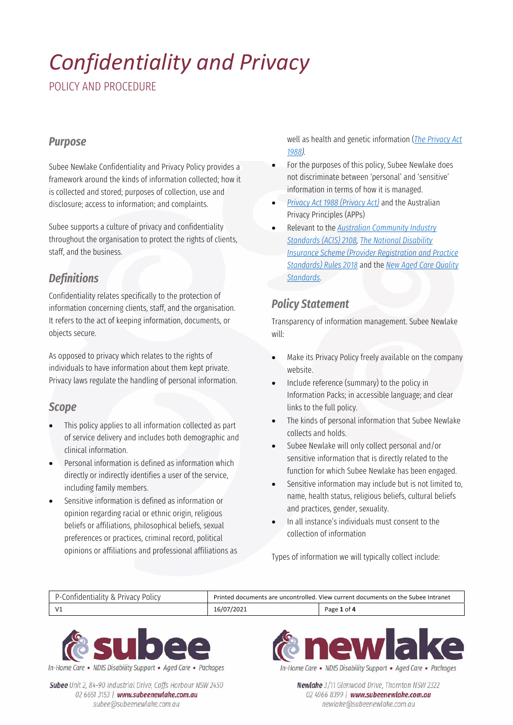POLICY AND PROCEDURE

#### *Purpose*

Subee Newlake Confidentiality and Privacy Policy provides a framework around the kinds of information collected; how it is collected and stored; purposes of collection, use and disclosure; access to information; and complaints.

Subee supports a culture of privacy and confidentiality throughout the organisation to protect the rights of clients, staff, and the business.

### *Definitions*

Confidentiality relates specifically to the protection of information concerning clients, staff, and the organisation. It refers to the act of keeping information, documents, or objects secure.

As opposed to privacy which relates to the rights of individuals to have information about them kept private. Privacy laws regulate the handling of personal information.

#### *Scope*

- This policy applies to all information collected as part of service delivery and includes both demographic and clinical information.
- Personal information is defined as information which directly or indirectly identifies a user of the service, including family members.
- Sensitive information is defined as information or opinion regarding racial or ethnic origin, religious beliefs or affiliations, philosophical beliefs, sexual preferences or practices, criminal record, political opinions or affiliations and professional affiliations as

well as health and genetic information (*The Privacy Act 1988).*

- For the purposes of this policy, Subee Newlake does not discriminate between 'personal' and 'sensitive' information in terms of how it is managed.
- *Privacy Act 1988 (Privacy Act)* and the Australian Privacy Principles (APPs)
- Relevant to the *Australian Community Industry Standards (ACIS) 2108, The National Disability Insurance Scheme (Provider Registration and Practice Standards) Rules 2018* and the *New Aged Care Quality Standards*.

#### *Policy Statement*

Transparency of information management. Subee Newlake will:

- Make its Privacy Policy freely available on the company website.
- Include reference (summary) to the policy in Information Packs; in accessible language; and clear links to the full policy.
- The kinds of personal information that Subee Newlake collects and holds.
- Subee Newlake will only collect personal and/or sensitive information that is directly related to the function for which Subee Newlake has been engaged.
- Sensitive information may include but is not limited to, name, health status, religious beliefs, cultural beliefs and practices, gender, sexuality.
- In all instance's individuals must consent to the collection of information

Types of information we will typically collect include:





Subee Unit 2, 84-90 Industrial Drive, Coffs Harbour NSW 2450 02 6651 3153 | www.subeenewlake.com.au subee@subeenewlake.com.au



In-Home Care • NDIS Disability Support • Aged Care • Packages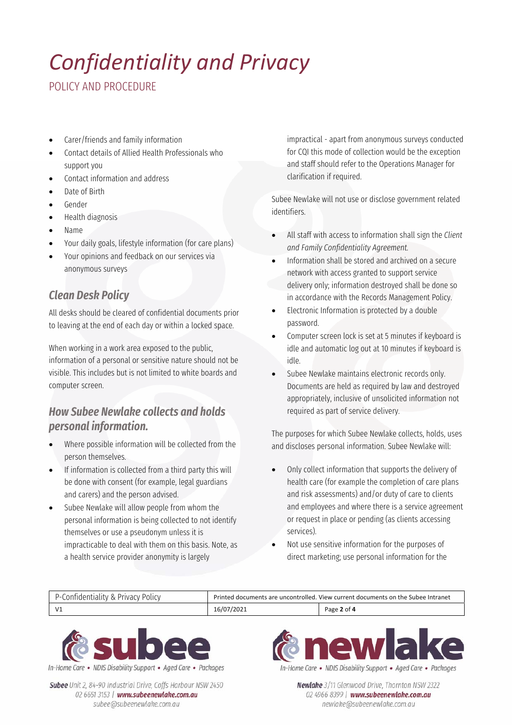POLICY AND PROCEDURE

- Carer/friends and family information
- Contact details of Allied Health Professionals who support you
- Contact information and address
- Date of Birth
- Gender
- Health diagnosis
- Name
- Your daily goals, lifestyle information (for care plans)
- Your opinions and feedback on our services via anonymous surveys

### *Clean Desk Policy*

All desks should be cleared of confidential documents prior to leaving at the end of each day or within a locked space.

When working in a work area exposed to the public, information of a personal or sensitive nature should not be visible. This includes but is not limited to white boards and computer screen.

### *How Subee Newlake collects and holds personal information.*

- Where possible information will be collected from the person themselves.
- If information is collected from a third party this will be done with consent (for example, legal guardians and carers) and the person advised.
- Subee Newlake will allow people from whom the personal information is being collected to not identify themselves or use a pseudonym unless it is impracticable to deal with them on this basis. Note, as a health service provider anonymity is largely

impractical - apart from anonymous surveys conducted for CQI this mode of collection would be the exception and staff should refer to the Operations Manager for clarification if required.

Subee Newlake will not use or disclose government related identifiers.

- All staff with access to information shall sign the *Client and Family Confidentiality Agreement.*
- Information shall be stored and archived on a secure network with access granted to support service delivery only; information destroyed shall be done so in accordance with the Records Management Policy.
- Electronic Information is protected by a double password.
- Computer screen lock is set at 5 minutes if keyboard is idle and automatic log out at 10 minutes if keyboard is idle.
- Subee Newlake maintains electronic records only. Documents are held as required by law and destroyed appropriately, inclusive of unsolicited information not required as part of service delivery.

The purposes for which Subee Newlake collects, holds, uses and discloses personal information. Subee Newlake will:

- Only collect information that supports the delivery of health care (for example the completion of care plans and risk assessments) and/or duty of care to clients and employees and where there is a service agreement or request in place or pending (as clients accessing services).
- Not use sensitive information for the purposes of direct marketing; use personal information for the

| : Privacv Policv<br>Confidentiality & ' | Printed documents are uncontrolled. View current documents on the Subee Intranet |             |
|-----------------------------------------|----------------------------------------------------------------------------------|-------------|
| $\sqrt{1}$                              | 16/07/2021                                                                       | Page 2 of 4 |



Subee Unit 2, 84-90 Industrial Drive, Coffs Harbour NSW 2450 02 6651 3153 | www.subeenewlake.com.au subee@subeenewlake.com.au



In-Home Care . NDIS Disability Support . Aged Care . Packages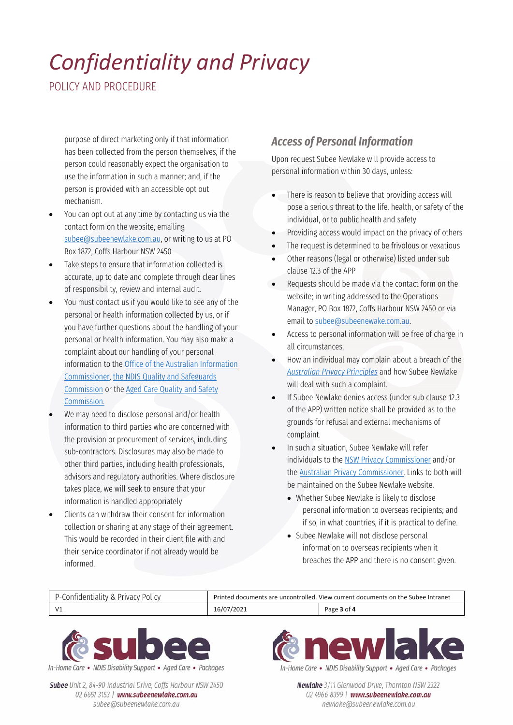POLICY AND PROCEDURE

purpose of direct marketing only if that information has been collected from the person themselves, if the person could reasonably expect the organisation to use the information in such a manner; and, if the person is provided with an accessible opt out mechanism.

- You can opt out at any time by contacting us via the contact form on the website, emailing subee@subeenewlake.com.au, or writing to us at PO Box 1872, Coffs Harbour NSW 2450
- Take steps to ensure that information collected is accurate, up to date and complete through clear lines of responsibility, review and internal audit.
- You must contact us if you would like to see any of the personal or health information collected by us, or if you have further questions about the handling of your personal or health information. You may also make a complaint about our handling of your personal information to the Office of the Australian Information Commissioner, the NDIS Quality and Safeguards Commission or the Aged Care Quality and Safety Commission.
- We may need to disclose personal and/or health information to third parties who are concerned with the provision or procurement of services, including sub-contractors. Disclosures may also be made to other third parties, including health professionals, advisors and regulatory authorities. Where disclosure takes place, we will seek to ensure that your information is handled appropriately
- Clients can withdraw their consent for information collection or sharing at any stage of their agreement. This would be recorded in their client file with and their service coordinator if not already would be informed.

### *Access of Personal Information*

Upon request Subee Newlake will provide access to personal information within 30 days, unless:

- There is reason to believe that providing access will pose a serious threat to the life, health, or safety of the individual, or to public health and safety
- Providing access would impact on the privacy of others
- The request is determined to be frivolous or vexatious
- Other reasons (legal or otherwise) listed under sub clause 12.3 of the APP
- Requests should be made via the contact form on the website; in writing addressed to the Operations Manager, PO Box 1872, Coffs Harbour NSW 2450 or via email to subee@subeenewake.com.au.
- Access to personal information will be free of charge in all circumstances.
- How an individual may complain about a breach of the *Australian Privacy Principles* and how Subee Newlake will deal with such a complaint.
- If Subee Newlake denies access (under sub clause 12.3 of the APP) written notice shall be provided as to the grounds for refusal and external mechanisms of complaint.
- In such a situation, Subee Newlake will refer individuals to the NSW Privacy Commissioner and/or the Australian Privacy Commissioner. Links to both will be maintained on the Subee Newlake website.
	- Whether Subee Newlake is likely to disclose personal information to overseas recipients; and if so, in what countries, if it is practical to define.
	- Subee Newlake will not disclose personal information to overseas recipients when it breaches the APP and there is no consent given.





Subee Unit 2, 84-90 Industrial Drive, Coffs Harbour NSW 2450 02 6651 3153 | www.subeenewlake.com.au subee@subeenewlake.com.au



In-Home Care • NDIS Disability Support • Aged Care • Packages